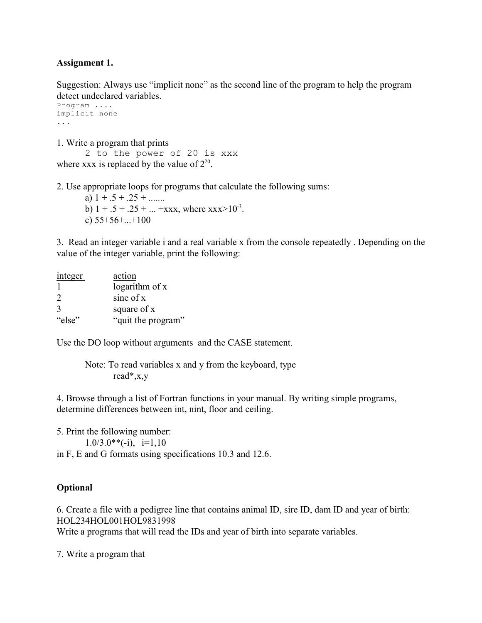#### **Assignment 1.**

Suggestion: Always use "implicit none" as the second line of the program to help the program detect undeclared variables.

```
Program ....
implicit none
...
```
1. Write a program that prints 2 to the power of 20 is xxx where xxx is replaced by the value of  $2^{20}$ .

2. Use appropriate loops for programs that calculate the following sums:

a)  $1 + .5 + .25 + ...$ b)  $1 + .5 + .25 + ... + xxx$ , where  $xxx > 10^{-3}$ . c)  $55+56+...+100$ 

3. Read an integer variable i and a real variable x from the console repeatedly . Depending on the value of the integer variable, print the following:

| integer | action             |
|---------|--------------------|
|         | logarithm of x     |
| 2       | sine of x          |
| 3       | square of x        |
| "else"  | "quit the program" |

Use the DO loop without arguments and the CASE statement.

Note: To read variables x and y from the keyboard, type read\*,x,y

4. Browse through a list of Fortran functions in your manual. By writing simple programs, determine differences between int, nint, floor and ceiling.

5. Print the following number:  $1.0/3.0^{**}(-i), i=1,10$ in F, E and G formats using specifications 10.3 and 12.6.

#### **Optional**

6. Create a file with a pedigree line that contains animal ID, sire ID, dam ID and year of birth: HOL234HOL001HOL9831998

Write a programs that will read the IDs and year of birth into separate variables.

7. Write a program that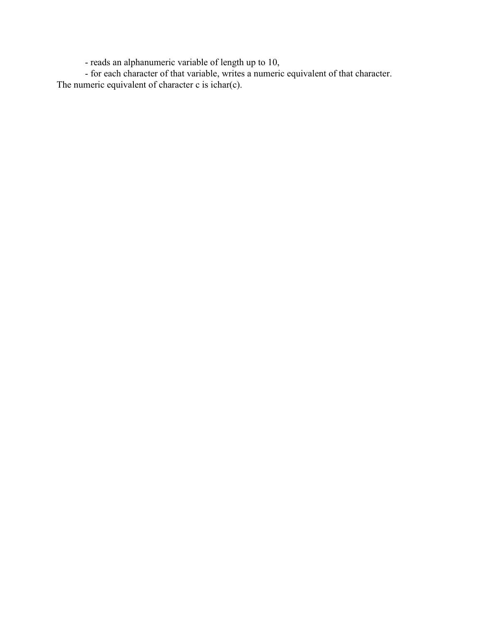- reads an alphanumeric variable of length up to 10,

- for each character of that variable, writes a numeric equivalent of that character. The numeric equivalent of character c is ichar(c).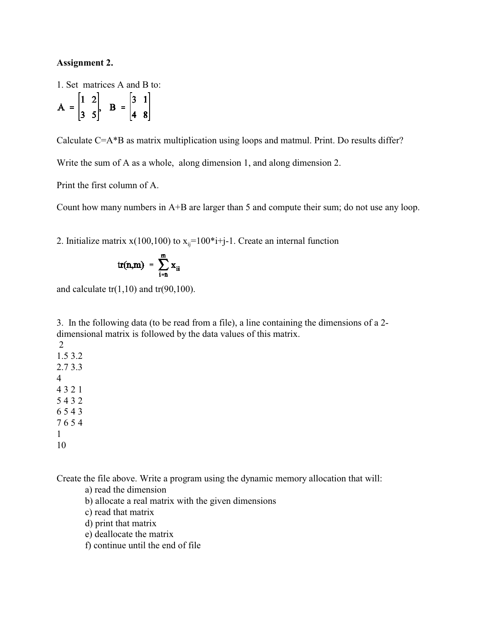#### **Assignment 2.**

1. Set matrices A and B to:

$$
A = \begin{bmatrix} 1 & 2 \\ 3 & 5 \end{bmatrix}, B = \begin{bmatrix} 3 & 1 \\ 4 & 8 \end{bmatrix}
$$

Calculate C=A\*B as matrix multiplication using loops and matmul. Print. Do results differ?

Write the sum of A as a whole, along dimension 1, and along dimension 2.

Print the first column of A.

Count how many numbers in A+B are larger than 5 and compute their sum; do not use any loop.

2. Initialize matrix  $x(100,100)$  to  $x_{ij}=100*$  *i*+j-1. Create an internal function

$$
tr(n,m) = \sum_{i=n}^m x_{ii}
$$

and calculate  $tr(1,10)$  and  $tr(90,100)$ .

3. In the following data (to be read from a file), a line containing the dimensions of a 2 dimensional matrix is followed by the data values of this matrix.

Create the file above. Write a program using the dynamic memory allocation that will:

a) read the dimension

- b) allocate a real matrix with the given dimensions
- c) read that matrix

d) print that matrix

e) deallocate the matrix

f) continue until the end of file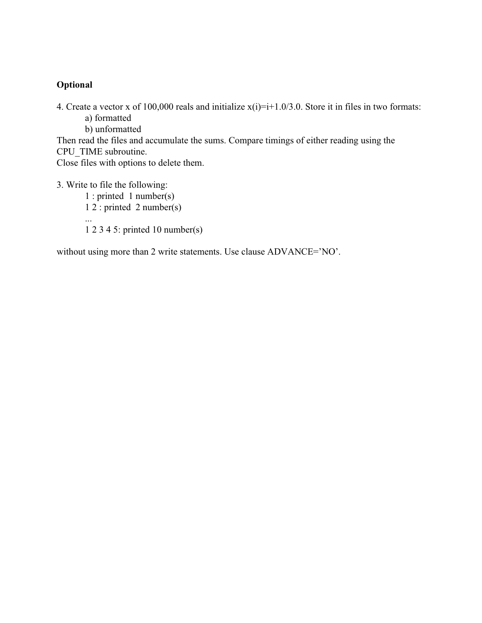4. Create a vector x of 100,000 reals and initialize  $x(i)=i+1.0/3.0$ . Store it in files in two formats:

a) formatted

b) unformatted

Then read the files and accumulate the sums. Compare timings of either reading using the CPU\_TIME subroutine.

Close files with options to delete them.

3. Write to file the following:

1 : printed 1 number(s) 1 2 : printed 2 number(s) ... 1 2 3 4 5: printed 10 number(s)

without using more than 2 write statements. Use clause ADVANCE='NO'.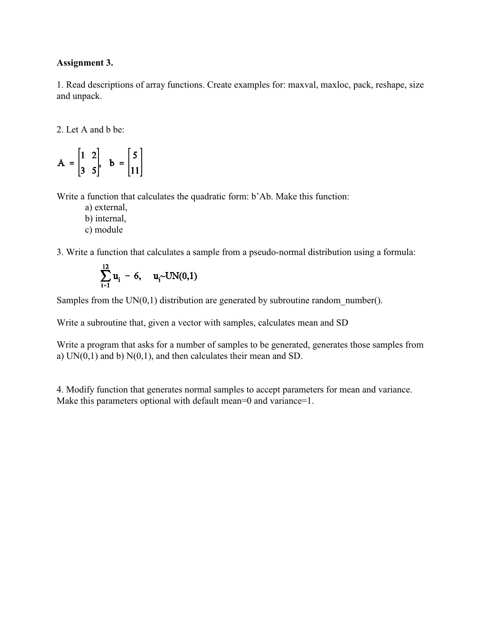#### **Assignment 3.**

1. Read descriptions of array functions. Create examples for: maxval, maxloc, pack, reshape, size and unpack.

2. Let A and b be:

$$
A = \begin{bmatrix} 1 & 2 \\ 3 & 5 \end{bmatrix}, b = \begin{bmatrix} 5 \\ 11 \end{bmatrix}
$$

Write a function that calculates the quadratic form: b'Ab. Make this function:

- a) external, b) internal,
- c) module

3. Write a function that calculates a sample from a pseudo-normal distribution using a formula:

$$
\sum_{i=1}^{12} u_i - 6, \quad u_i \sim UN(0,1)
$$

Samples from the  $UN(0,1)$  distribution are generated by subroutine random number().

Write a subroutine that, given a vector with samples, calculates mean and SD

Write a program that asks for a number of samples to be generated, generates those samples from a)  $UN(0,1)$  and b)  $N(0,1)$ , and then calculates their mean and SD.

4. Modify function that generates normal samples to accept parameters for mean and variance. Make this parameters optional with default mean=0 and variance=1.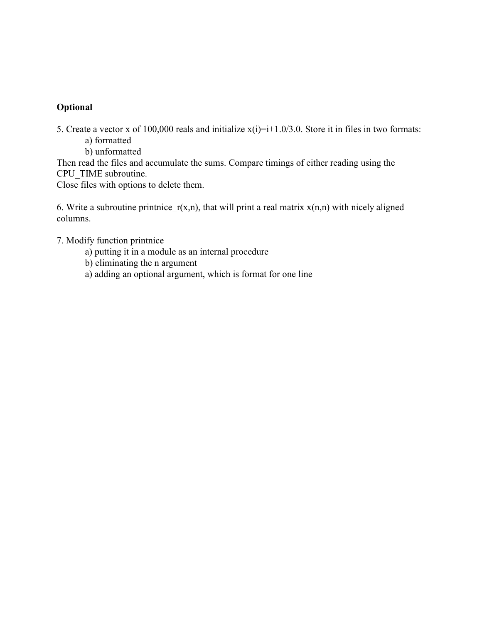5. Create a vector x of 100,000 reals and initialize  $x(i)=i+1.0/3.0$ . Store it in files in two formats: a) formatted

b) unformatted

Then read the files and accumulate the sums. Compare timings of either reading using the CPU\_TIME subroutine.

Close files with options to delete them.

6. Write a subroutine printnice  $r(x,n)$ , that will print a real matrix  $x(n,n)$  with nicely aligned columns.

- 7. Modify function printnice
	- a) putting it in a module as an internal procedure
	- b) eliminating the n argument
	- a) adding an optional argument, which is format for one line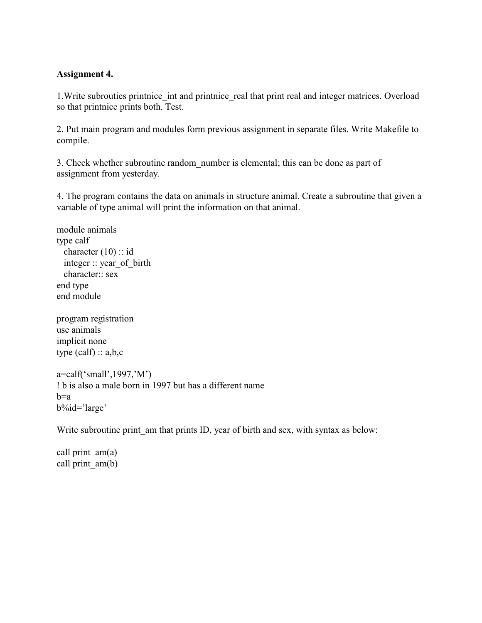#### **Assignment 4.**

1. Write subrouties printnice int and printnice real that print real and integer matrices. Overload so that printnice prints both. Test.

2. Put main program and modules form previous assignment in separate files. Write Makefile to compile.

3. Check whether subroutine random\_number is elemental; this can be done as part of assignment from yesterday.

4. The program contains the data on animals in structure animal. Create a subroutine that given a variable of type animal will print the information on that animal.

module animals type calf character (10) :: id integer :: year\_of\_birth character:: sex end type end module

program registration use animals implicit none type  $(calf) :: a,b,c$ 

a=calf('small',1997,'M') ! b is also a male born in 1997 but has a different name  $h=a$ b%id='large'

Write subroutine print am that prints ID, year of birth and sex, with syntax as below:

call print  $am(a)$ call print  $am(b)$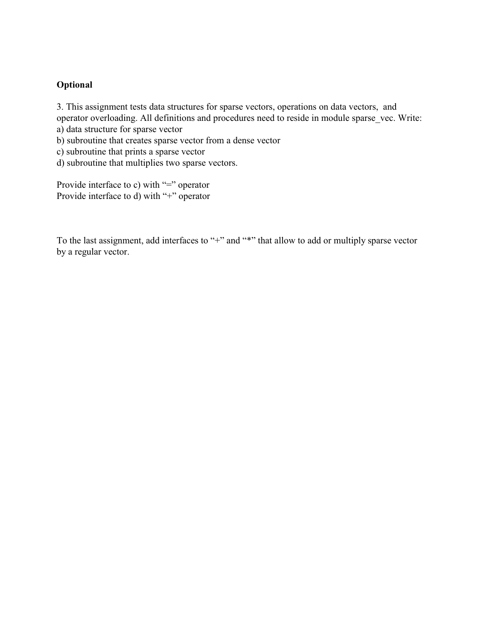3. This assignment tests data structures for sparse vectors, operations on data vectors, and operator overloading. All definitions and procedures need to reside in module sparse vec. Write: a) data structure for sparse vector

b) subroutine that creates sparse vector from a dense vector

c) subroutine that prints a sparse vector

d) subroutine that multiplies two sparse vectors.

Provide interface to c) with "=" operator Provide interface to d) with "+" operator

To the last assignment, add interfaces to "+" and "\*" that allow to add or multiply sparse vector by a regular vector.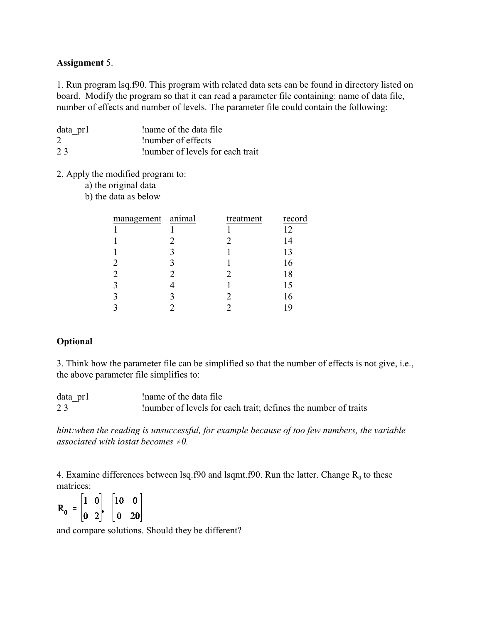#### **Assignment** 5.

1. Run program lsq.f90. This program with related data sets can be found in directory listed on board. Modify the program so that it can read a parameter file containing: name of data file, number of effects and number of levels. The parameter file could contain the following:

| data pr1 | Iname of the data file           |
|----------|----------------------------------|
| 2        | Inumber of effects               |
| 23       | Inumber of levels for each trait |

2. Apply the modified program to:

a) the original data

b) the data as below

| management animal | treatment | record |
|-------------------|-----------|--------|
|                   |           | 12     |
|                   |           | 14     |
|                   |           | 13     |
|                   |           | 16     |
|                   |           | 18     |
|                   |           | 15     |
|                   |           | 16     |
|                   |           | 19     |

#### **Optional**

3. Think how the parameter file can be simplified so that the number of effects is not give, i.e., the above parameter file simplifies to:

| data pr1 | Iname of the data file                                     |
|----------|------------------------------------------------------------|
| 23       | In the levels for each trait; defines the number of traits |

*hint:when the reading is unsuccessful, for example because of too few numbers, the variable associated with iostat becomes*  $\neq 0$ .

4. Examine differences between lsq.f90 and lsqmt.f90. Run the latter. Change  $R_0$  to these

matrices:<br> $R_0 = \begin{bmatrix} 1 & 0 \\ 0 & 2 \end{bmatrix}, \begin{bmatrix} 10 & 0 \\ 0 & 20 \end{bmatrix}$ 

and compare solutions. Should they be different?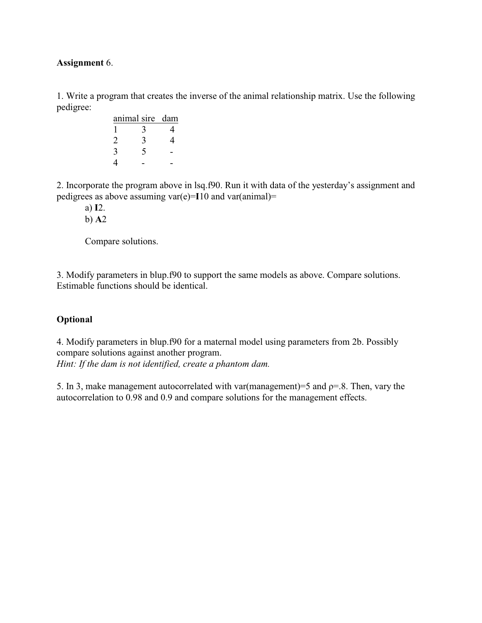#### **Assignment** 6.

1. Write a program that creates the inverse of the animal relationship matrix. Use the following pedigree:

| animal sire dam |  |
|-----------------|--|
|                 |  |
|                 |  |
|                 |  |
|                 |  |

2. Incorporate the program above in lsq.f90. Run it with data of the yesterday's assignment and pedigrees as above assuming var(e)=**I**10 and var(animal)=

a) **I**2.

b) **A**2

Compare solutions.

3. Modify parameters in blup.f90 to support the same models as above. Compare solutions. Estimable functions should be identical.

## **Optional**

4. Modify parameters in blup.f90 for a maternal model using parameters from 2b. Possibly compare solutions against another program. *Hint: If the dam is not identified, create a phantom dam.* 

5. In 3, make management autocorrelated with var(management)=5 and  $\rho$ =.8. Then, vary the autocorrelation to 0.98 and 0.9 and compare solutions for the management effects.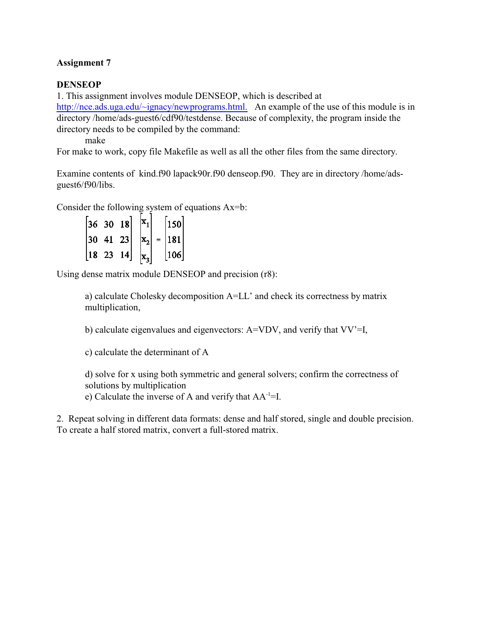#### **DENSEOP**

1. This assignment involves module DENSEOP, which is described at <http://nce.ads.uga.edu/~ignacy/newprograms.html.> An example of the use of this module is in directory /home/ads-guest6/cdf90/testdense. Because of complexity, the program inside the directory needs to be compiled by the command:

make

For make to work, copy file Makefile as well as all the other files from the same directory.

Examine contents of kind.f90 lapack90r.f90 denseop.f90. They are in directory /home/adsguest6/f90/libs.

Consider the following system of equations Ax=b:

|     | $ 36 \t30 \t18 $ |       |                    |     | 150 |  |
|-----|------------------|-------|--------------------|-----|-----|--|
| 130 |                  | 41 23 | $ \mathrm{x}_{2} $ | $=$ | 181 |  |
| 18  | 23               | 14    |                    |     | 106 |  |

Using dense matrix module DENSEOP and precision (r8):

a) calculate Cholesky decomposition A=LL' and check its correctness by matrix multiplication,

b) calculate eigenvalues and eigenvectors: A=VDV, and verify that VV'=I,

c) calculate the determinant of A

d) solve for x using both symmetric and general solvers; confirm the correctness of solutions by multiplication

e) Calculate the inverse of A and verify that  $AA^{-1}$ =I.

2. Repeat solving in different data formats: dense and half stored, single and double precision. To create a half stored matrix, convert a full-stored matrix.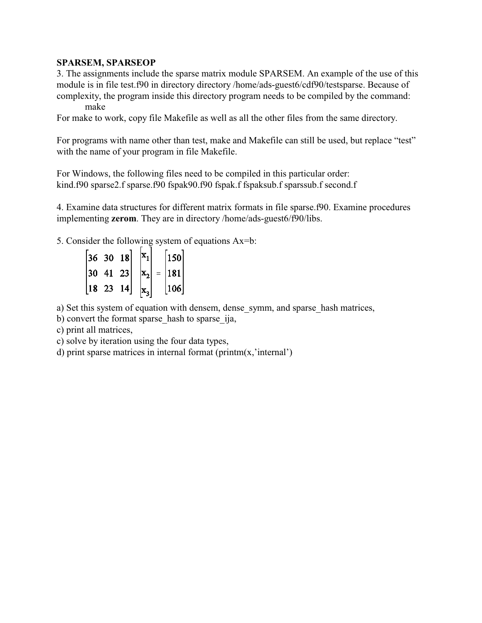#### **SPARSEM, SPARSEOP**

3. The assignments include the sparse matrix module SPARSEM. An example of the use of this module is in file test.f90 in directory directory /home/ads-guest6/cdf90/testsparse. Because of complexity, the program inside this directory program needs to be compiled by the command: make

For make to work, copy file Makefile as well as all the other files from the same directory.

For programs with name other than test, make and Makefile can still be used, but replace "test" with the name of your program in file Makefile.

For Windows, the following files need to be compiled in this particular order: kind.f90 sparse2.f sparse.f90 fspak90.f90 fspak.f fspaksub.f sparssub.f second.f

4. Examine data structures for different matrix formats in file sparse.f90. Examine procedures implementing **zerom**. They are in directory /home/ads-guest6/f90/libs.

5. Consider the following system of equations Ax=b:

|    | $36 \t30 \t18$ |       |                           |     | 150 |  |
|----|----------------|-------|---------------------------|-----|-----|--|
| 30 |                | 41 23 | $\vert \mathrm{x2} \vert$ | $=$ | 181 |  |
| 18 | 23             | '4    |                           |     | 106 |  |

a) Set this system of equation with densem, dense symm, and sparse hash matrices,

b) convert the format sparse\_hash to sparse\_ija,

c) print all matrices,

c) solve by iteration using the four data types,

d) print sparse matrices in internal format (printm(x,'internal')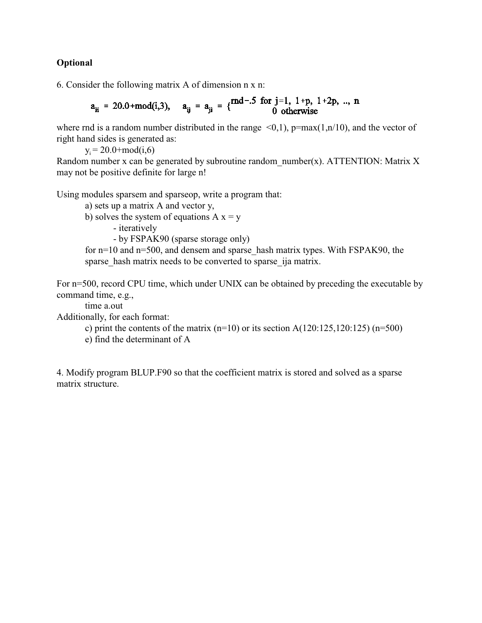6. Consider the following matrix A of dimension n x n:

$$
a_{ii} = 20.0 + \text{mod}(i, 3),
$$
  $a_{ij} = a_{ji} = \{ \begin{matrix} \text{rnd} - .5 \text{ for } j = 1, 1 + p, 1 + 2p, ..., n \\ 0 \text{ otherwise} \end{matrix}$ 

where rnd is a random number distributed in the range  $\leq 0,1$ , p=max(1,n/10), and the vector of right hand sides is generated as:

 $y_i = 20.0 + \text{mod}(i, 6)$ 

Random number x can be generated by subroutine random number(x). ATTENTION: Matrix X may not be positive definite for large n!

Using modules sparsem and sparseop, write a program that:

a) sets up a matrix A and vector y,

b) solves the system of equations  $A x = y$ 

- iteratively

- by FSPAK90 (sparse storage only)

for  $n=10$  and  $n=500$ , and densem and sparse hash matrix types. With FSPAK90, the sparse hash matrix needs to be converted to sparse ija matrix.

For n=500, record CPU time, which under UNIX can be obtained by preceding the executable by command time, e.g.,

time a.out

Additionally, for each format:

c) print the contents of the matrix  $(n=10)$  or its section A $(120:125,120:125)$   $(n=500)$ 

e) find the determinant of A

4. Modify program BLUP.F90 so that the coefficient matrix is stored and solved as a sparse matrix structure.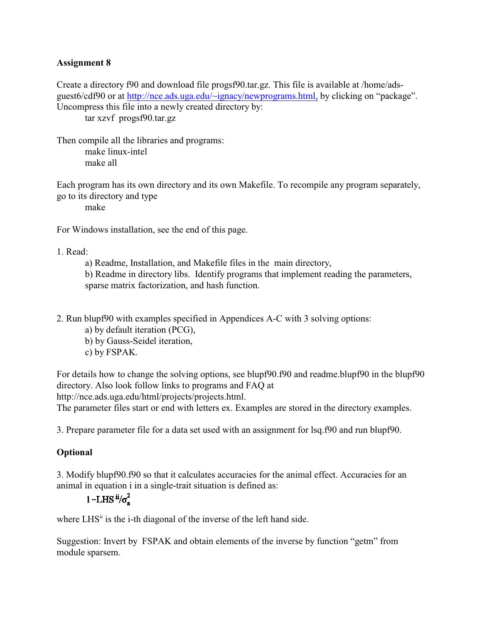Create a directory f90 and download file progsf90.tar.gz. This file is available at /home/adsguest6/cdf90 or at<http://nce.ads.uga.edu/~ignacy/newprograms.html,> by clicking on "package". Uncompress this file into a newly created directory by:

tar xzvf progsf90.tar.gz

Then compile all the libraries and programs: make linux-intel make all

Each program has its own directory and its own Makefile. To recompile any program separately, go to its directory and type

make

For Windows installation, see the end of this page.

1. Read:

a) Readme, Installation, and Makefile files in the main directory,

b) Readme in directory libs. Identify programs that implement reading the parameters, sparse matrix factorization, and hash function.

2. Run blupf90 with examples specified in Appendices A-C with 3 solving options:

a) by default iteration (PCG),

- b) by Gauss-Seidel iteration,
- c) by FSPAK.

For details how to change the solving options, see blupf90.f90 and readme.blupf90 in the blupf90 directory. Also look follow links to programs and FAQ at http://nce.ads.uga.edu/html/projects/projects.html.

The parameter files start or end with letters ex. Examples are stored in the directory examples.

3. Prepare parameter file for a data set used with an assignment for lsq.f90 and run blupf90.

#### **Optional**

3. Modify blupf90.f90 so that it calculates accuracies for the animal effect. Accuracies for an animal in equation i in a single-trait situation is defined as:

# 1-LHS  $\mathrm{^{ii}\!/\sigma^2}$

where  $LHS<sup>ii</sup>$  is the i-th diagonal of the inverse of the left hand side.

Suggestion: Invert by FSPAK and obtain elements of the inverse by function "getm" from module sparsem.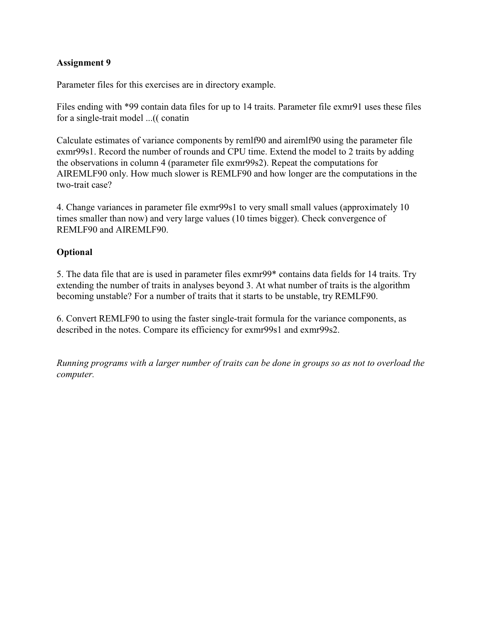Parameter files for this exercises are in directory example.

Files ending with \*99 contain data files for up to 14 traits. Parameter file exmr91 uses these files for a single-trait model ...(( conatin

Calculate estimates of variance components by remlf90 and airemlf90 using the parameter file exmr99s1. Record the number of rounds and CPU time. Extend the model to 2 traits by adding the observations in column 4 (parameter file exmr99s2). Repeat the computations for AIREMLF90 only. How much slower is REMLF90 and how longer are the computations in the two-trait case?

4. Change variances in parameter file exmr99s1 to very small small values (approximately 10 times smaller than now) and very large values (10 times bigger). Check convergence of REMLF90 and AIREMLF90.

#### **Optional**

5. The data file that are is used in parameter files exmr99\* contains data fields for 14 traits. Try extending the number of traits in analyses beyond 3. At what number of traits is the algorithm becoming unstable? For a number of traits that it starts to be unstable, try REMLF90.

6. Convert REMLF90 to using the faster single-trait formula for the variance components, as described in the notes. Compare its efficiency for exmr99s1 and exmr99s2.

*Running programs with a larger number of traits can be done in groups so as not to overload the computer.*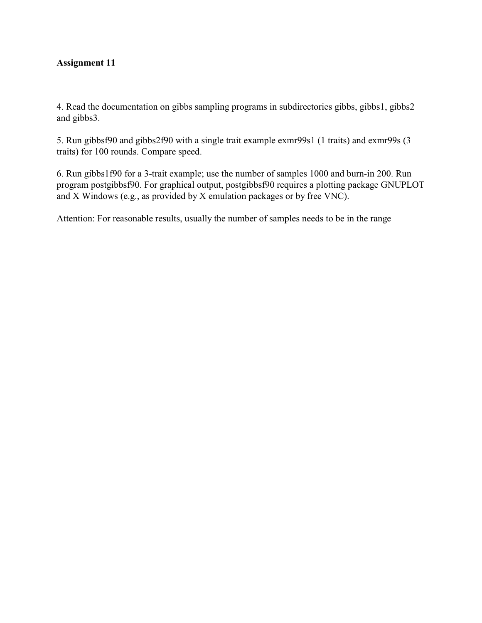4. Read the documentation on gibbs sampling programs in subdirectories gibbs, gibbs1, gibbs2 and gibbs3.

5. Run gibbsf90 and gibbs2f90 with a single trait example exmr99s1 (1 traits) and exmr99s (3 traits) for 100 rounds. Compare speed.

6. Run gibbs1f90 for a 3-trait example; use the number of samples 1000 and burn-in 200. Run program postgibbsf90. For graphical output, postgibbsf90 requires a plotting package GNUPLOT and X Windows (e.g., as provided by X emulation packages or by free VNC).

Attention: For reasonable results, usually the number of samples needs to be in the range